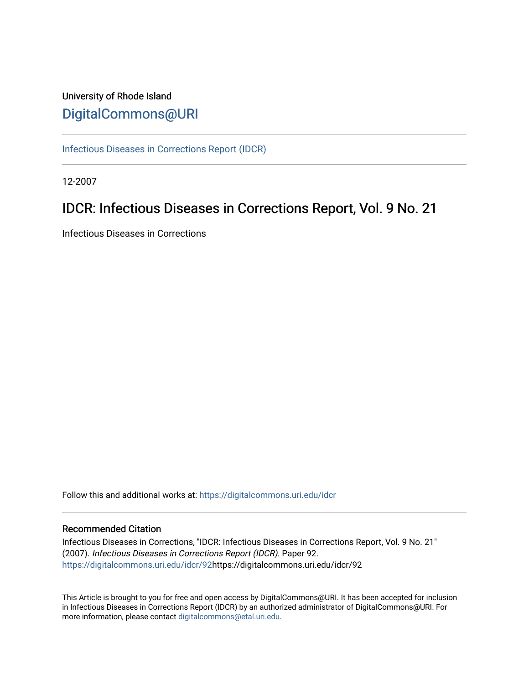# University of Rhode Island [DigitalCommons@URI](https://digitalcommons.uri.edu/)

[Infectious Diseases in Corrections Report \(IDCR\)](https://digitalcommons.uri.edu/idcr)

12-2007

# IDCR: Infectious Diseases in Corrections Report, Vol. 9 No. 21

Infectious Diseases in Corrections

Follow this and additional works at: [https://digitalcommons.uri.edu/idcr](https://digitalcommons.uri.edu/idcr?utm_source=digitalcommons.uri.edu%2Fidcr%2F92&utm_medium=PDF&utm_campaign=PDFCoverPages)

## Recommended Citation

Infectious Diseases in Corrections, "IDCR: Infectious Diseases in Corrections Report, Vol. 9 No. 21" (2007). Infectious Diseases in Corrections Report (IDCR). Paper 92. [https://digitalcommons.uri.edu/idcr/92h](https://digitalcommons.uri.edu/idcr/92?utm_source=digitalcommons.uri.edu%2Fidcr%2F92&utm_medium=PDF&utm_campaign=PDFCoverPages)ttps://digitalcommons.uri.edu/idcr/92

This Article is brought to you for free and open access by DigitalCommons@URI. It has been accepted for inclusion in Infectious Diseases in Corrections Report (IDCR) by an authorized administrator of DigitalCommons@URI. For more information, please contact [digitalcommons@etal.uri.edu.](mailto:digitalcommons@etal.uri.edu)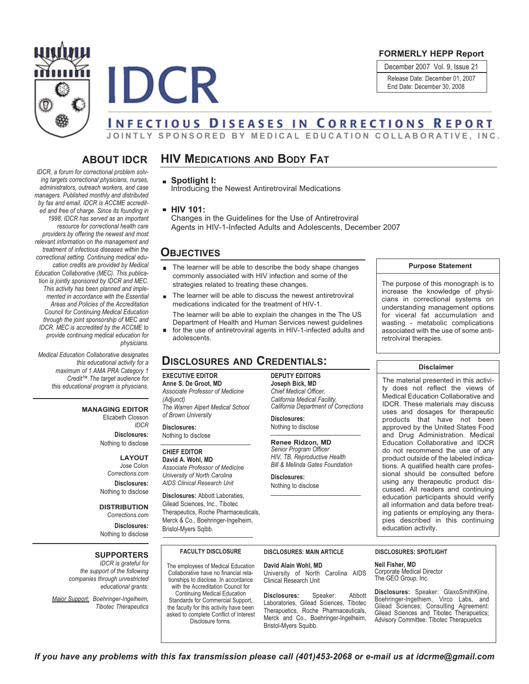

**IDCR** 

## **FORMERLY HEPP Report**

December 2007 Vol. 9, Issue 21 Release Date: December 01, 2007 End Date: December 30, 2008

# **INFECTIOUS DISEASES IN CORRECTIONS REPORT**

JOINTLY SPONSORED BY MEDICAL EDUCATION COLLABORATIVE, INC.

# **ABOUT IDCR**

### *IDCR, a forum for correctional problem solving targets correctional physicians, nurses, administrators, outreach workers, and case managers. Published monthly and distributed by fax and email, IDCR is ACCME accredited and free of charge. Since its founding in 1998, IDCR has served as an important resource for correctional health care providers by offering the newest and most relevant information on the management and treatment of infectious diseases within the correctional setting. Continuing medical education credits are provided by Medical Education Collaborative (MEC). This publication is jointly sponsored by IDCR and MEC. This activity has been planned and implemented in accordance with the Essential Areas and Policies of the Accreditation Council for Continuing Medical Education through the joint sponsorship of MEC and IDCR. MEC is accredited by the ACCME to provide continuing medical education for physicians.*

*Medical Education Collaborative designates this educational activity for a maximum of 1 AMA PRA Category 1 Credit™.The target audience for this educational program is physcians.*

### **MANAGING EDITOR**

Elizabeth Closson *IDCR*

**Disclosures:** Nothing to disclose

### **LAYOUT**

Jose Colon *Corrections.com* **Disclosures:** Nothing to disclose

### **DISTRIBUTION**

*Corrections.com* **Disclosures:** Nothing to disclose

### **SUPPORTERS**

*IDCR is grateful for the support of the following companies through unrestricted educational grants:*

*Major Support: Boehringer-Ingelheim, Tibotec Therapeutics*

# **HIV MEDICATIONS AND BODY FAT**

### **Spotlight I:**

Introducing the Newest Antiretroviral Medications

**HIV 101:**

Changes in the Guidelines for the Use of Antiretroviral Agents in HIV-1-Infected Adults and Adolescents, December 2007

# **OBJECTIVES**

- The learner will be able to describe the body shape changes commonly associated with HIV infection and some of the strategies related to treating these changes.
- The learner will be able to discuss the newest antiretroviral medications indicated for the treatment of HIV-1.

The learner will be able to explain the changes in the The US Department of Health and Human Services newest guidelines

■ for the use of antiretroviral agents in HIV-1-infected adults and adolescents.

# **DISCLOSURES AND CREDENTIALS:**

### **EXECUTIVE EDITOR**

**Anne S. De Groot, MD** *Associate Professor of Medicine (Adjunct) The Warren Alpert Medical School of Brown University*

**Disclosures:** Nothing to disclose

### **CHIEF EDITOR**

**David A. Wohl, MD** *Associate Professor of Medicine University of North Carolina AIDS Clinical Research Unit*

**Disclosures:** Abbott Laboraties, Gilead Sciences, Inc., Tibotec Therapeutics, Roche Pharmaceuticals, Merck & Co., Boehringer-Ingelheim, Bristol-Myers Sqibb.

**FACULTY DISCLOSURE** The employees of Medical Education Collaborative have no financial relationships to disclose. In accordance with the Accreditation Council for Continuing Medical Education Standards for Commercial Support, the faculty for this activity have been asked to complete Conflict of Interest Disclosure forms.

**DEPUTY EDITORS Joseph Bick, MD** *Chief Medical Officer, California Medical Facility, California Department of Corrections*

**Disclosures:** Nothing to disclose

**Renee Ridzon, MD** *Senior Program Officer HIV, TB, Reproductive Health Bill & Melinda Gates Foundation*

**Disclosures:** Nothing to disclose

### **Purpose Statement**

The purpose of this monograph is to increase the knowledge of physicians in correctional systems on understanding management options for viceral fat accumulation and wasting - metabolic complications associated with the use of some antiretrolviral therapies.

### **Disclaimer**

The material presented in this activity does not reflect the views of Medical Education Collaborative and IDCR. These materials may discuss uses and dosages for therapeutic products that have not been approved by the United States Food and Drug Administration. Medical Education Collaborative and IDCR do not recommend the use of any product outside of the labeled indications. A qualified health care professional should be consulted before using any therapeutic product discussed. All readers and continuing education participants should verify all information and data before treating patients or employing any therapies described in this continuing education activity.

**David Alain Wohl, MD** University of North Carolina AIDS Clinical Research Unit

**Disclosures:** Speaker: Abbott Laboratories, Gilead Sciences, Tibotec Therapuetics, Roche Pharmaceuticals, Merck and Co., Boehringer-Ingelheim, Bristol-Myers Squibb.

**DISCLOSURES: MAIN ARTICLE DISCLOSURES: SPOTLIGHT**

**Neil Fisher, MD** Corporate Medical Director The GEO Group, Inc.

**Disclosures:** Speaker: GlaxoSmithKline, Boehringer-Ingelhiem, Virco Labs, and Gilead Sciences; Consulting Agreement: Gilead Sciences and Tibotec Therapuetics; Advisory Committee: Tibotec Therapuetics

If you have any problems with this fax transmission please call (401)453-2068 or e-mail us at idcrme@gmail.com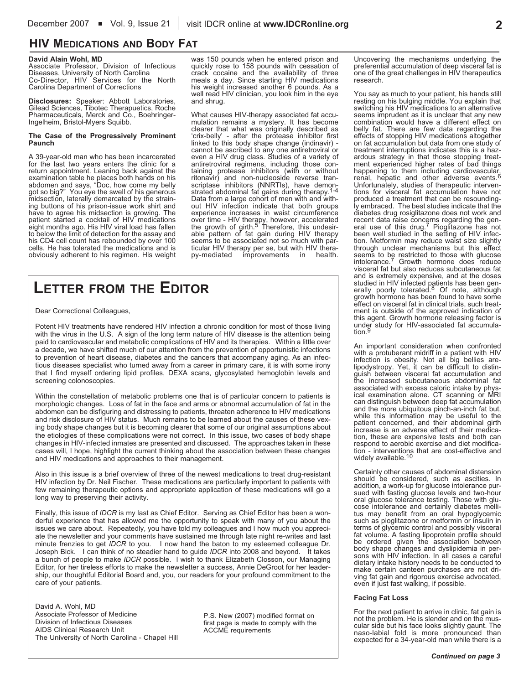# **HIV MEDICATIONS AND BODY FAT**

**David Alain Wohl, MD** Associate Professor, Division of Infectious<br>Diseases, University of North Carolina<br>Co-Director, HIV Services for the North Carolina Department of Corrections

**Disclosures:** Speaker: Abbott Laboratories, Gilead Sciences, Tibotec Therapuetics, Roche Pharmaceuticals, Merck and Co., Boehringer- Ingelheim, Bristol-Myers Squibb.

### **The Case of the Progressively Prominent Paunch**

A 39-year-old man who has been incarcerated<br>for the last two years enters the clinic for a for the last two years enters the clinic for a<br>return appointment. Leaning back against the<br>examination table he places both hands on his<br>abdomen and says, "Doc, how come my belly got so big?" You eye the swell of his generous<br>midsection, laterally demarcated by the strain-<br>ing buttons of his prison-issue work shirt and have to agree his midsection is growing. The patient started a cocktail of HIV medications eight months ago. His HIV viral load has fallen to below the limit of detection for the assay and his CD4 cell count has rebounded cells. He has tolerated the medications and is obviously adherent to his regimen. His weight

was 150 pounds when he entered prison and quickly rose to 158 pounds with cessation of crack cocaine and the availability of three<br>meals a day. Since starting HIV medications<br>his weight increased another 6 pounds. As a<br>well read HIV clinician, you look him in the eye<br>and shrug.

What causes HIV-therapy associated fat accu-<br>mulation remains a mystery. It has become<br>clearer that what was originally described as<br>'crix-belly' - after the protease inhibitor first<br>linked to this body shape change (indin linked to this body shape change (indinavir) -<br>cannot be ascribed to any one antiretroviral or<br>even a HIV drug class. Studies of a variety of<br>antiretroviral regimens, including those con-<br>taining protease inhibitors (with Data from a large cohort of men with and with-<br>out HIV infection indicate that both groups<br>experience increases in waist circumference<br>over time - HIV therapy, however, accelerated the growth of girth.<sup>5'</sup> Therefore, this undesir-<br>able pattern of fat gain during HIV therapy<br>seems to be associated improvements in health.<br>py-mediated improvements in health.

# **LETTER FROM THE EDITOR**

### Dear Correctional Colleagues,

Potent HIV treatments have rendered HIV infection a chronic condition for most of those living with the virus in the U.S. A sign of the long term nature of HIV disease is the attention being paid to cardiovascular and metabolic complications of HIV and its therapies. Within a little over a decade, we have shifted much of our attention from the prevention of opportunistic infections to prevention of heart disease, diabetes and the cancers that accompany aging. As an infectious diseases specialist who turned away from a career in primary care, it is with some irony that I find myself ordering lipid profiles, DEXA scans, glycosylated hemoglobin levels and screening colonoscopies.

Within the constellation of metabolic problems one that is of particular concern to patients is morphologic changes. Loss of fat in the face and arms or abnormal accumulation of fat in the abdomen can be disfiguring and distressing to patients, threaten adherence to HIV medications and risk disclosure of HIV status. Much remains to be learned about the causes of these vexing body shape changes but it is becoming clearer that some of our original assumptions about the etiologies of these complications were not correct. In this issue, two cases of body shape changes in HIV-infected inmates are presented and discussed. The approaches taken in these cases will, I hope, highlight the current thinking about the association between these changes and HIV medications and approaches to their management.

Also in this issue is a brief overview of three of the newest medications to treat drug-resistant HIV infection by Dr. Neil Fischer. These medications are particularly important to patients with few remaining therapeutic options and appropriate application of these medications will go a long way to preserving their activity.

Finally, this issue of *IDCR* is my last as Chief Editor. Serving as Chief Editor has been a wonderful experience that has allowed me the opportunity to speak with many of you about the issues we care about. Repeatedly, you have told my colleagues and I how much you appreciate the newsletter and your comments have sustained me through late night re-writes and last minute frenzies to get *IDCR* to you. I now hand the baton to my esteemed colleague Dr. Joseph Bick. I can think of no steadier hand to guide *IDCR* into 2008 and beyond. It takes a bunch of people to make *IDCR* possible. I wish to thank Elizabeth Closson, our Managing Editor, for her tireless efforts to make the newsletter a success, Annie DeGroot for her leadership, our thoughtful Editorial Board and, you, our readers for your profound commitment to the care of your patients.

David A. Wohl, MD Associate Professor of Medicine Division of Infectious Diseases AIDS Clinical Research Unit The University of North Carolina - Chapel Hill

P.S. New (2007) modified format on first page is made to comply with the ACCME requirements

Uncovering the mechanisms underlying the preferential accumulation of deep visceral fat is one of the great challenges in HIV therapeutics research.

You say as much to your patient, his hands still<br>resting on his bulging middle. You explain that<br>switching his HIV medications to an alternative<br>seems imprudent as it is unclear that any new<br>combination would have a differ ardous strategy in that those stopping treat-<br>ment experienced higher rates of bad things<br>happening to them including cardiovascular,<br>renal, hepatic and other adverse events.<sup>6</sup> Unfortunately, studies of therapeutic interven- tions for visceral fat accumulation have not produced a treatment that can be resounding-<br>ly embraced. The best studies indicate that the<br>diabetes drug rosiglitazone does not work and<br>recent data raise concerns regarding the gen-<br>eral use of this drug.<sup>7</sup> Pioglitazon been well studied in the setting of HIV infec-<br>tion. Metformin may reduce waist size slightly<br>through unclear mechanisms but this effect seems to be restricted to those with glucose<br>intolerance.<sup>7</sup> Growth hormone does reduce<br>visceral fat but also reduces subcutaneous fat intolerance.<sup>7</sup> Growth hormone does reduce<br>visceral fat but also reduces subcutaneous fat<br>and is extremely expensive, and at the doses<br>studied in HIV infected patients has been gen-<br>erally poorly tolerated.<sup>8</sup> Of note, alt growth hormone has been found to have some<br>effect on visceral fat in clinical trials, such treat-<br>ment is outside of the approved indication of this agent. Growth hormone releasing factor is<br>under study for HIV-associated fat accumula-<br>tion.<sup>9</sup>

An important consideration when confronted with <sup>a</sup> protuberant midriff in <sup>a</sup> patient with HIV infection is obesity. Not all big bellies are- lipodystropy. Yet, it can be difficult to distin- guish between visceral fat accumulation and associated with excess caloric intake by physical examination alone. CT scanning or MRI<br>can distinguish between deep fat accumulation<br>and the more ubiquitous pinch-an-inch fat but,<br>while this information may be useful to t increase is an adverse effect of their medica-<br>tion, these are expensive tests and both can<br>respond to aerobic exercise and diet modifica-<br>tion - interventions that are cost-effective and<br>widely available.<sup>10</sup>

Certainly other causes of abdominal distension<br>should be considered, such as ascities. In<br>addition, a work-up for glucose intolerance pur-<br>sued with fasting glucose levels and two-hour<br>oral glucose tolerance testing. Those fat volume. A fasting lipoprotein profile should<br>be ordered given the association between body shape changes and dyslipidemia in per-<br>sons with HIV infection. In all cases a careful<br>dietary intake history needs to be conducted to make certain canteen purchases are not dri-<br>ving fat gain and rigorous exercise advocated,<br>even if just fast walking, if possible.

### **Facing Fat Loss**

For the next patient to arrive in clinic, fat gain is<br>not the problem. He is slender and on the mus-<br>cular side but his face looks slightly gaunt. The<br>naso-labial fold is more pronounced than<br>expected for a 34-year-old man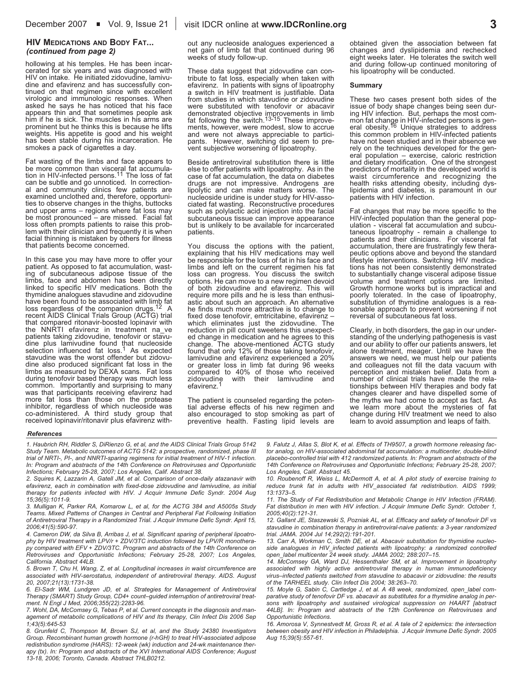### **HIV MEDICATIONS AND BODY FAT...** *(continued from page 2)*

hollowing at his temples. He has been incar-<br>cerated for six years and was diagnosed with<br>HIV on intake. He initiated zidovudine. lamivudine and efavirenz and has successfully continued on that regimen since with excellent virologic and immunologic responses. When asked he says he has noticed that his face appears thin and that sometimes people ask him if him if he is sick. The muscles in his arms are<br>prominent but he thinks this is because he lifts<br>weights. His appetite is good and his weight has been stable during his incarceration. He<br>smokes a pack of cigarettes a day.

Fat wasting of the limbs and face appears to be more common than visceral fat accumulation in HIV-infected persons.<sup>11</sup> The loss of fat can be subtle and go unnoticed. In correctional and community clinics few patients are<br>examined unclothed and, therefore, opportuni-<br>ties to observe changes in the thighs, buttocks<br>and upper arms – regions where fat loss may be most pronounced – are missed. Facial fat loss often prompts patients to raise this prob-<br>lem with their clinician and frequently it is when<br>facial thinning is mistaken by others for illness<br>that patients become concerned.

In this case you may have more to offer your patient. As opposed to fat accumulation, wast-<br>ing of subcutaneous adipose tissue of the<br>limbs, face and abdomen has been directly<br>linked to specific HIV medications. Both the linked to specific HIV medications. Both the thymidine analogues stavudine and zidovudine have been found to be associated with limb fat loss regardless of the companion drugs. <sup>12</sup> <sup>A</sup> recent AIDS Clinical Trials Group (ACTG) trial that compared ritonavir-boosted lopinavir with<br>the NNRTI efavirenz in treatment na\_ve patients taking zidovudine, tenofovir or stavu-<br>dine plus lamivudine found that nucleoside<br>selection influenced fat loss.<sup>1</sup> As expected<br>stavudine was the worst offender but zidovudine also produced significant fat loss in the<br>limbs as measured by DEXA scans. Fat loss<br>during tenofovir based therapy was much less<br>common. Importantly and surprising to many<br>was that participants receiving efavirenz had out any nucleoside analogues experienced <sup>a</sup> net gain of limb fat that continued during <sup>96</sup> weeks of study follow-up.

These data suggest that zidovudine can contribute to fat loss, especially when taken with efavirenz. In patients with signs of lipoatrophy a switch in HIV treatment is justifiable. Data from studies in which stavudine or z demonstrated objective improvements in limb<br>fat following the switch.<sup>13-15</sup> These improve-<br>ments, however, were modest, slow to accrue and were not always appreciable to partici-<br>pants. However, switching did seem to pre-<br>vent subjective worsening of lipoatrophy.

Beside antiretroviral substitution there is little<br>else to offer patients with lipoatrophy. As in the<br>case of fat accumulation, the data on diabetes<br>drugs are not impressive. Androgens are<br>lipolytic and can make matters wo patients.

You discuss the options with the patient, explaining that his HIV medications may well be responsible for the loss of fat in his face and limbs and left on the current regimen his fat loss can progress. You discuss the switch<br>options. He can move to a new regimen devoid<br>of both zidovudine and efavirenz. This will<br>require more pills and he is less than enthusi-<br>astic about such an approach. An alternativ found that only 12 and the taking tend of those taking tensor or greater loss in limb fat during 96 weeks compared to 40% of those who received zidovudine with their lamivudine and efavirenz.<sup>1</sup>

The patient is counseled regarding the poten-<br>tial adverse effects of his new regimen and<br>also encouraged to stop smoking as part of preventive health. Fasting lipid levels are obtained given the association between fat changes and dyslipidemia and rechecked eight weeks later. He tolerates the switch well and during follow-up continued monitoring of his lipoatrophy will be conducted.

#### **Summary**

These two cases present both sides of the issue of body shape changes being seen dur-<br>ing HIV infection. But, perhaps the most com-<br>mon fat change in HIV-infected persons is gen-<br>eral obesity.<sup>16</sup> Unique strategies to addr have not been studied and in their absence we<br>rely on the techniques developed for the gen-<br>eral population – exercise, caloric restriction<br>and dietary modification. One of the strongest<br>predictors of mortality in the deve waist circumference and recognizing the health risks attending obesity, including dys-<br>lipidemia and diabetes, is paramount in our patients with HIV infection.

Fat changes that may be more specific to the HIV-infected population than the general population - visceral fat accumulation and subcutaneous lipoatrophy - remain a challenge to patients and their clinicians. For visceral Firstyle interventions. Switching HIV medica-<br>tions has not been consistently demonstrated<br>to substantially change visceral adipose tissue volume and treatment options are limited.<br>Growth hormone works but is impractical and poorly tolerated. In the case of lipoatrophy, substitution of thymidine analogues is <sup>a</sup> rea- sonable approach to prevent worsening if not reversal of subcutaneous fat loss.

Clearly, in both disorders, the gap in our under-<br>standing of the underlying pathogenesis is vast<br>and our ability to offer our patients answers, let<br>alone treatment, meager. Until we have the<br>answers we need, we must help perception and mistaken between HIV therapies and body fat changes clearer and have dispelled some of the myths we had come to accept as fact. As we learn more about the mysteries of fat change during HIV treatment we need to also learn to avoid assumption and leaps of faith.

#### *References*

*1. Haubrich RH, Riddler S, DiRienzo G, et al, and the AIDS Clinical Trials Group 5142 Study Team. Metabolic outcomes of ACTG 5142: a prospective, randomized, phase III trial of NRTI-, PI-, and NNRTI-sparing regimens for initial treatment of HIV-1 infection. In: Program and abstracts of the 14th Conference on Retroviruses and Opportunistic Infections; February 25-28, 2007; Los Angeles, Calif. Abstract 38.*

*2. Squires K, Lazzarin A, Gatell JM, et al. Comparison of once-daily atazanavir with efavirenz, each in combination with fixed-dose zidovudine and lamivudine, as initial therapy for patients infected with HIV. J Acquir Immune Defic Syndr. 2004 Aug 15;36(5):1011-9.*

*3. Mulligan K, Parker RA, Komarow L, et al, for the ACTG 384 and A5005s Study Teams. Mixed Patterns of Changes in Central and Peripheral Fat Following Initiation of Antiretroviral Therapy in a Randomized Trial. J Acquir Immune Defic Syndr. April 15, 2006;41(5):590-97.*

*4. Cameron DW, da Silva B, Arribas J, et al. Significant sparing of peripheral lipoatrophy by HIV treatment with LPV/r + ZDV/3TC induction followed by LPV/R monotherapy compared with EFV + ZDV/3TC. Program and abstracts of the 14th Conference on Retroviruses and Opportunistic Infections; February 25-28, 2007; Los Angeles, California. Abstract 44LB.*

*5. Brown T, Chu H, Wang, Z, et al. Longitudinal increases in waist circumference are associated with HIV-serostatus, independent of antiretroviral therapy. AIDS. August 20, 2007;21(13):1731-38.*

*6. El-Sadr WM, Lundgren JD, et al. Strategies for Management of Antiretroviral Therapy (SMART) Study Group, CD4+ count–guided interruption of antiretroviral treatment. N Engl J Med, 2006;355(22):2283-96.*

*7. Wohl, DA, McComsey G, Tebas P, et al. Current concepts in the diagnosis and management of metabolic complications of HIV and Its therapy, Clin Infect Dis 2006 Sep 1;43(5):645-53*

*8. Grunfeld C, Thompson M, Brown SJ, et al, and the Study 24380 Investigators Group. Recombinant human growth hormone (r-hGH) to treat HIV-associated adipose redistribution syndrome (HARS): 12-week (wk) induction and 24-wk maintenance therapy (tx). In: Program and abstracts of the XVI International AIDS Conference; August 13-18, 2006; Toronto, Canada. Abstract THLB0212.*

*9. Falutz J, Allas S, Blot K, et al. Effects of TH9507, a growth hormone releasing factor analog, on HIV-associated abdominal fat accumulation: a multicenter, double-blind placebo-controlled trial with 412 randomized patients. In: Program and abstracts of the 14th Conference on Retroviruses and Opportunistic Infections; February 25-28, 2007; Los Angeles, Calif. Abstract 45.*

*10. Roubenoff R, Weiss L, McDermott A, et al. A pilot study of exercise training to reduce trunk fat in adults with HIV\_associated fat redistribution. AIDS 1999; 13:1373–5.*

*11. The Study of Fat Redistribution and Metabolic Change in HIV Infection (FRAM). Fat distribution in men with HIV infection. J Acquir Immune Defic Syndr. October 1, 2005;40(2):121-31.*

*12. Gallant JE, Staszewski S, Pozniak AL, et al. Efficacy and safety of tenofovir DF vs stavudine in combination therapy in antiretroviral-naive patients: a 3-year randomized trial. JAMA. 2004 Jul 14;292(2):191-201.*

*13. Carr A, Workman C, Smith DE, et al. Abacavir substitution for thymidine nucleoside analogues in HIV\_infected patients with lipoatrophy: a randomized controlled open\_label multicenter 24 week study. JAMA 2002; 288:207–15.*

*14. McComsey GA, Ward DJ, Hessenthaler SM, et al. Improvement in lipoatrophy associated with highly active antiretroviral therapy in human immunodeficiency virus–infected patients switched from stavudine to abacavir or zidovudine: the results of the TARHEEL study. Clin Infect Dis 2004; 38:263–70.*

*15. Moyle G, Sabin C, Cartledge J, et al. A 48 week, randomized, open\_label comparative study of tenofovir DF vs. abacavir as substitutes for a thymidine analog in persons with lipoatrophy and sustained virological suppression on HAART [abstract 44LB]. In: Program and abstracts of the 12th Conference on Retroviruses and Opportunistic Infections.*

*16. Amorosa V, Synnestvedt M, Gross R, et al. A tale of 2 epidemics: the intersection between obesity and HIV infection in Philadelphia. J Acquir Immune Defic Syndr. 2005 Aug 15;39(5):557-61.*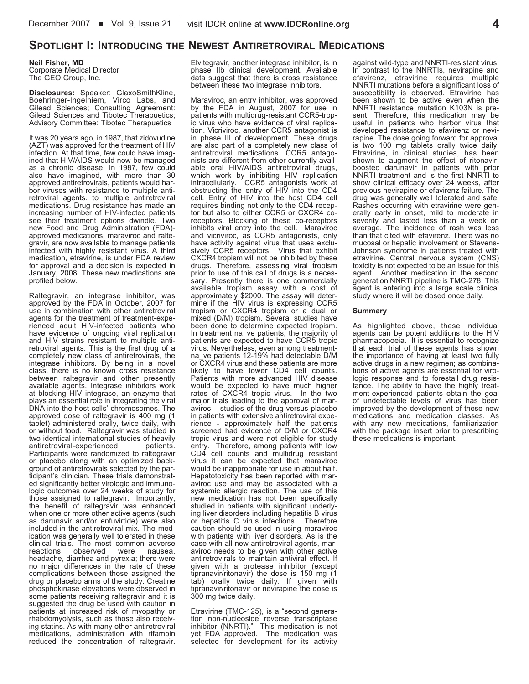# **SPOTLIGHT I: INTRODUCING THE NEWEST ANTIRETROVIRAL MEDICATIONS**

### **Neil Fisher, MD**

Corporate Medical Director The GEO Group, Inc.

**Disclosures:** Speaker: GlaxoSmithKline, Boehringer-Ingelhiem, Virco Labs, and Gilead Sciences; Consulting Agreement: Gilead Sciences and Tibotec Therapuetics; Advisory Committee: Tibotec Therapuetics

It was 20 years ago, in 1987, that zidovudine (AZT) was approved for the treatment of HIV infection. At that time, few could have imagined that HIV/AIDS would now be managed as a chronic disease. In 1987, few could also have imagined, with more than 30 approved antiretrovirals, patients would har-<br>bor viruses with resistance to multiple antiretroviral agents. to multiple antiretroviral medications. Drug resistance has made an increasing number of HIV-infected patients see their treatment options dwindle. Two<br>new Food and Drug Administration (FDA)approved medications, maraviroc and raltegravir, are now available to manage patients infected with highly resistant virus. A third medication, etravirine, is under FDA review for approval and a decision is expected in January, 2008. These new medications are profiled below.

Raltegravir, an integrase inhibitor, was approved by the FDA in October, 2007 for use in combination with other antiretroviral<br>agents for the treatment of treatment-experienced adult HIV-infected patients who have evidence of ongoing viral replication and HIV strains resistant to multiple antiretroviral agents. This is the first drug of a completely new class of antiretrovirals, the integrase inhibitors. By being in a novel class, there is no known cross resistance between raltegravir and other presently available agents. Integrase inhibitors work at blocking HIV integrase, an enzyme that plays an essential role in integrating the viral DNA into the host cells' chromosomes. The approved dose of raltegravir is 400 mg (1 tablet) administered orally, twice daily, with or without food. Raltegravir was studied in two identical international studies of heavily<br>antiretroviral-experienced patients. antiretroviral-experienced Participants were randomized to raltegravir or placebo along with an optimized back-<br>ground of antiretrovirals selected by the participant's clinician. These trials demonstrated significantly better virologic and immunologic outcomes over 24 weeks of study for those assigned to raltegravir. Importantly, the benefit of raltegravir was enhanced when one or more other active agents (such as darunavir and/or enfuvirtide) were also included in the antiretroviral mix. The medication was generally well tolerated in these clinical trials. The most common adverse<br>reactions observed were nausea, observed headache, diarrhea and pyrexia; there were no major differences in the rate of these complications between those assigned the drug or placebo arms of the study. Creatine phosphokinase elevations were observed in some patients receiving raltegravir and it is suggested the drug be used with caution in patients at increased risk of myopathy or rhabdomyolysis, such as those also receiving statins. As with many other antiretroviral medications, administration with rifampin reduced the concentration of raltegravir. Elvitegravir, another integrase inhibitor, is in phase IIb clinical development. Available data suggest that there is cross resistance between these two integrase inhibitors.

Maraviroc, an entry inhibitor, was approved by the FDA in August, 2007 for use in patients with multidrug-resistant CCR5-trop-<br>ic virus who have evidence of viral replication. Vicriviroc, another CCR5 antagonist is in phase III of development. These drugs are also part of a completely new class of antiretroviral medications. CCR5 antagonists are different from other currently avail- able oral HIV/AIDS antiretroviral drugs, which work by inhibiting HIV replication intracellularly. CCR5 antagonists work at obstructing the entry of HIV into the CD4 cell. Entry of HIV into the host CD4 cell requires binding not only to the CD4 receptor but also to either CCR5 or CXCR4 co-<br>receptors. Blocking of these co-receptors inhibits viral entry into the cell. Maraviroc and vicriviroc, as CCR5 antagonists, only have activity against virus that uses exclusively CCR5 receptors. Virus that exhibit CXCR4 tropism will not be inhibited by these drugs. Therefore, assessing viral tropism<br>prior to use of this call of drugs is a necessary. Presently there is one commercially available tropism assay with a cost of approximately \$2000. The assay will determine if the HIV virus is expressing CCR5 tropism or CXCR4 tropism or a dual or mixed (D/M) tropism. Several studies have been done to determine expected tropism. In treatment na ve patients, the majority of patients are expected to have CCR5 tropic<br>virus. Nevertheless, even among treatmentna ve patients 12-19% had detectable D/M or CXCR4 virus and these patients are more likely to have lower CD4 cell counts. Patients with more advanced HIV disease would be expected to have much higher rates of CXCR4 tropic virus. In the two major trials leading to the approval of maraviroc – studies of the drug versus placebo<br>in patients with extensive antiretroviral expein patients with extensive antiretroviral expe-<br>rience - approximately half the patients screened had evidence of D/M or CXCR4 tropic virus and were not eligible for study entry. Therefore, among patients with low CD4 cell counts and multidrug resistant virus it can be expected that maraviroc<br>would be inappropriate for use in about half. Hepatotoxicity has been reported with maraviroc use and may be associated with a systemic allergic reaction. The use of this new medication has not been specifically studied in patients with significant underlying liver disorders including hepatitis B virus or hepatitis C virus infections. Therefore caution should be used in using maraviroc with patients with liver disorders. As is the case with all new antiretroviral agents, maraviroc needs to be given with other active antiretrovirals to maintain antiviral effect. If given with a protease inhibitor (except tipranavir/ritonavir) the dose is 150 mg (1 tab) orally twice daily. If given with tipranavir/ritonavir or nevirapine the dose is 300 mg twice daily.

Etravirine (TMC-125), is a "second generation non-nucleoside reverse transcriptase inhibitor (NNRTI)." This medication is not yet FDA approved. The medication was selected for development for its activity against wild-type and NNRTI-resistant virus. In contrast to the NNRTIs, nevirapine and efavirenz, etravirine requires multiple NNRTI mutations before a significant loss of susceptibility is observed. Etravirine has been shown to be active even when the<br>NNRTI resistance mutation K103N is present. Therefore, this medication may be useful in patients who harbor virus that<br>developed resistance to efavirenz or nevirapine. The dose going forward for approval<br>is two 100 mg tablets orally twice daily. Etravirine, in clinical studies, has been shown to augment the effect of ritonavir- boosted darunavir in patients with prior NNRTI treatment and is the first NNRTI to show clinical efficacy over 24 weeks, after previous nevirapine or efavirenz failure. The drug was generally well tolerated and safe. Rashes occurring with etravirine were generally early in onset, mild to moderate in severity and lasted less than a week on average. The incidence of rash was less than that cited with efavirenz. There was no mucosal or hepatic involvement or Stevens-Johnson syndrome in patients treated with etravirine. Central nervous system (CNS) toxicity is not expected to be an issue for this agent. Another medication in the second generation NNRTI pipeline is TMC-278. This agent is entering into a large scale clinical study where it will be dosed once daily.

#### **Summary**

As highlighted above, these individual agents can be potent additions to the HIV pharmacopoeia. It is essential to recognize that each trial of these agents has shown the importance of having at least two fully active drugs in a new regimen; as combinations of active agents are essential for virologic response and to forestall drug resistance. The ability to have the highly treatment-experienced patients obtain the goal of undetectable levels of virus has been improved by the development of these new medications and medication classes. As with any new medications, familiarization with the package insert prior to prescribing these medications is important.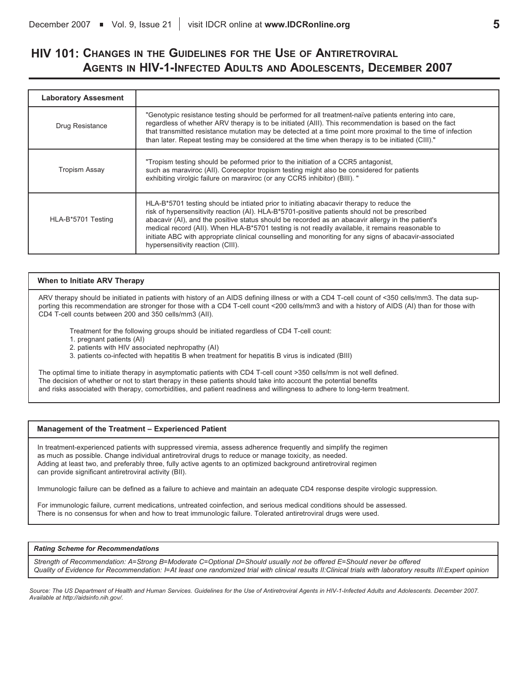# **HIV 101: CHANGES IN THE GUIDELINES FOR THE USE OF ANTIRETROVIRAL AGENTS IN HIV-1-INFECTED ADULTS AND ADOLESCENTS, DECEMBER 2007**

| <b>Laboratory Assesment</b> |                                                                                                                                                                                                                                                                                                                                                                                                                                                                                                                                                   |
|-----------------------------|---------------------------------------------------------------------------------------------------------------------------------------------------------------------------------------------------------------------------------------------------------------------------------------------------------------------------------------------------------------------------------------------------------------------------------------------------------------------------------------------------------------------------------------------------|
| Drug Resistance             | "Genotypic resistance testing should be performed for all treatment-naïve patients entering into care,<br>regardless of whether ARV therapy is to be initiated (AIII). This recommendation is based on the fact<br>that transmitted resistance mutation may be detected at a time point more proximal to the time of infection<br>than later. Repeat testing may be considered at the time when therapy is to be initiated (CIII)."                                                                                                               |
| Tropism Assay               | "Tropism testing should be peformed prior to the initiation of a CCR5 antagonist,<br>such as maraviroc (All). Coreceptor tropism testing might also be considered for patients<br>exhibiting virolgic failure on maraviroc (or any CCR5 inhibitor) (BIII). "                                                                                                                                                                                                                                                                                      |
| HLA-B*5701 Testing          | HLA-B*5701 testing should be intiated prior to initiating abacavir therapy to reduce the<br>risk of hypersensitivity reaction (AI). HLA-B*5701-positive patients should not be prescribed<br>abacavir (AI), and the positive status should be recorded as an abacavir allergy in the patient's<br>medical record (All). When HLA-B*5701 testing is not readily available, it remains reasonable to<br>initiate ABC with appropriate clinical counselling and monoriting for any signs of abacavir-associated<br>hypersensitivity reaction (CIII). |

### **When to Initiate ARV Therapy**

ARV therapy should be initiated in patients with history of an AIDS defining illness or with a CD4 T-cell count of <350 cells/mm3. The data supporting this recommendation are stronger for those with a CD4 T-cell count <200 cells/mm3 and with a history of AIDS (AI) than for those with CD4 T-cell counts between 200 and 350 cells/mm3 (AII).

Treatment for the following groups should be initiated regardless of CD4 T-cell count:

- 1. pregnant patients (AI)
- 2. patients with HIV associated nephropathy (AI)
- 3. patients co-infected with hepatitis B when treatment for hepatitis B virus is indicated (BIII)

The optimal time to initiate therapy in asymptomatic patients with CD4 T-cell count >350 cells/mm is not well defined. The decision of whether or not to start therapy in these patients should take into account the potential benefits and risks associated with therapy, comorbidities, and patient readiness and willingness to adhere to long-term treatment.

### **Management of the Treatment – Experienced Patient**

In treatment-experienced patients with suppressed viremia, assess adherence frequently and simplify the regimen as much as possible. Change individual antiretroviral drugs to reduce or manage toxicity, as needed. Adding at least two, and preferably three, fully active agents to an optimized background antiretroviral regimen can provide significant antiretroviral activity (BII).

Immunologic failure can be defined as a failure to achieve and maintain an adequate CD4 response despite virologic suppression.

For immunologic failure, current medications, untreated coinfection, and serious medical conditions should be assessed. There is no consensus for when and how to treat immunologic failure. Tolerated antiretroviral drugs were used.

### *Rating Scheme for Recommendations*

*Strength of Recommendation: A=Strong B=Moderate C=Optional D=Should usually not be offered E=Should never be offered* Quality of Evidence for Recommendation: I=At least one randomized trial with clinical results II:Clinical trials with laboratory results III:Expert opinion

Source: The US Department of Health and Human Services. Guidelines for the Use of Antiretroviral Agents in HIV-1-Infected Adults and Adolescents. December 2007. *Available at http://aidsinfo.nih.gov/.*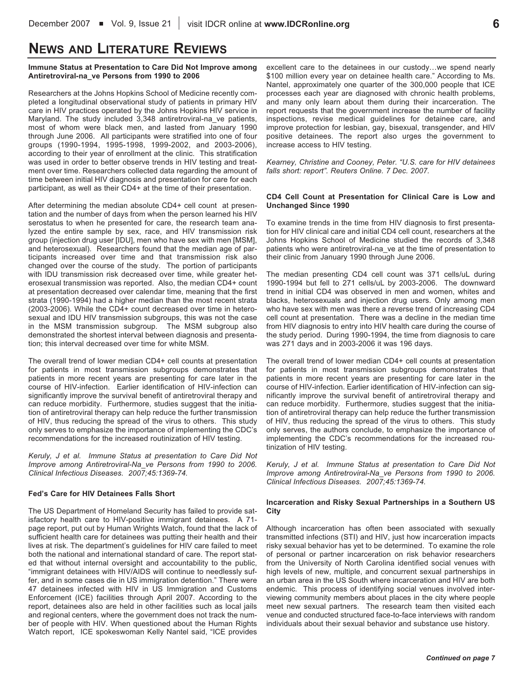# **NEWS AND LITERATURE REVIEWS**

### **Immune Status at Presentation to Care Did Not Improve among Antiretroviral-na\_ve Persons from 1990 to 2006**

Researchers at the Johns Hopkins School of Medicine recently completed a longitudinal observational study of patients in primary HIV care in HIV practices operated by the Johns Hopkins HIV service in Maryland. The study included 3,348 antiretroviral-na\_ve patients, most of whom were black men, and lasted from January 1990 through June 2006. All participants were stratified into one of four groups (1990-1994, 1995-1998, 1999-2002, and 2003-2006), according to their year of enrollment at the clinic. This stratification was used in order to better observe trends in HIV testing and treatment over time. Researchers collected data regarding the amount of time between initial HIV diagnosis and presentation for care for each participant, as well as their CD4+ at the time of their presentation.

After determining the median absolute CD4+ cell count at presentation and the number of days from when the person learned his HIV serostatus to when he presented for care, the research team analyzed the entire sample by sex, race, and HIV transmission risk group (injection drug user [IDU], men who have sex with men [MSM], and heterosexual). Researchers found that the median age of participants increased over time and that transmission risk also changed over the course of the study. The portion of participants with IDU transmission risk decreased over time, while greater heterosexual transmission was reported. Also, the median CD4+ count at presentation decreased over calendar time, meaning that the first strata (1990-1994) had a higher median than the most recent strata (2003-2006). While the CD4+ count decreased over time in heterosexual and IDU HIV transmission subgroups, this was not the case in the MSM transmission subgroup. The MSM subgroup also demonstrated the shortest interval between diagnosis and presentation; this interval decreased over time for white MSM.

The overall trend of lower median CD4+ cell counts at presentation for patients in most transmission subgroups demonstrates that patients in more recent years are presenting for care later in the course of HIV-infection. Earlier identification of HIV-infection can significantly improve the survival benefit of antiretroviral therapy and can reduce morbidity. Furthermore, studies suggest that the initiation of antiretroviral therapy can help reduce the further transmission of HIV, thus reducing the spread of the virus to others. This study only serves to emphasize the importance of implementing the CDC's recommendations for the increased routinization of HIV testing.

*Keruly, J et al. Immune Status at presentation to Care Did Not Improve among Antiretroviral-Na\_ve Persons from 1990 to 2006. Clinical Infectious Diseases. 2007;45:1369-74.*

### **Fed's Care for HIV Detainees Falls Short**

The US Department of Homeland Security has failed to provide satisfactory health care to HIV-positive immigrant detainees. A 71 page report, put out by Human Wrights Watch, found that the lack of sufficient health care for detainees was putting their health and their lives at risk. The department's guidelines for HIV care failed to meet both the national and international standard of care. The report stated that without internal oversight and accountability to the public, "immigrant detainees with HIV/AIDS will continue to needlessly suffer, and in some cases die in US immigration detention." There were 47 detainees infected with HIV in US Immigration and Customs Enforcement (ICE) facilities through April 2007. According to the report, detainees also are held in other facilities such as local jails and regional centers, where the government does not track the number of people with HIV. When questioned about the Human Rights Watch report, ICE spokeswoman Kelly Nantel said, "ICE provides

excellent care to the detainees in our custody…we spend nearly \$100 million every year on detainee health care." According to Ms. Nantel, approximately one quarter of the 300,000 people that ICE processes each year are diagnosed with chronic health problems, and many only learn about them during their incarceration. The report requests that the government increase the number of facility inspections, revise medical guidelines for detainee care, and improve protection for lesbian, gay, bisexual, transgender, and HIV positive detainees. The report also urges the government to increase access to HIV testing.

*Kearney, Christine and Cooney, Peter. "U.S. care for HIV detainees falls short: report". Reuters Online. 7 Dec. 2007.*

### **CD4 Cell Count at Presentation for Clinical Care is Low and Unchanged Since 1990**

To examine trends in the time from HIV diagnosis to first presentation for HIV clinical care and initial CD4 cell count, researchers at the Johns Hopkins School of Medicine studied the records of 3,348 patients who were antiretroviral-na\_ve at the time of presentation to their clinic from January 1990 through June 2006.

The median presenting CD4 cell count was 371 cells/uL during 1990-1994 but fell to 271 cells/uL by 2003-2006. The downward trend in initial CD4 was observed in men and women, whites and blacks, heterosexuals and injection drug users. Only among men who have sex with men was there a reverse trend of increasing CD4 cell count at presentation. There was a decline in the median time from HIV diagnosis to entry into HIV health care during the course of the study period. During 1990-1994, the time from diagnosis to care was 271 days and in 2003-2006 it was 196 days.

The overall trend of lower median CD4+ cell counts at presentation for patients in most transmission subgroups demonstrates that patients in more recent years are presenting for care later in the course of HIV-infection. Earlier identification of HIV-infection can significantly improve the survival benefit of antiretroviral therapy and can reduce morbidity. Furthermore, studies suggest that the initiation of antiretroviral therapy can help reduce the further transmission of HIV, thus reducing the spread of the virus to others. This study only serves, the authors conclude, to emphasize the importance of implementing the CDC's recommendations for the increased routinization of HIV testing.

*Keruly, J et al. Immune Status at presentation to Care Did Not Improve among Antiretroviral-Na\_ve Persons from 1990 to 2006. Clinical Infectious Diseases. 2007;45:1369-74.*

### **Incarceration and Risky Sexual Partnerships in a Southern US City**

Although incarceration has often been associated with sexually transmitted infections (STI) and HIV, just how incarceration impacts risky sexual behavior has yet to be determined. To examine the role of personal or partner incarceration on risk behavior researchers from the University of North Carolina identified social venues with high levels of new, multiple, and concurrent sexual partnerships in an urban area in the US South where incarceration and HIV are both endemic. This process of identifying social venues involved interviewing community members about places in the city where people meet new sexual partners. The research team then visited each venue and conducted structured face-to-face interviews with random individuals about their sexual behavior and substance use history.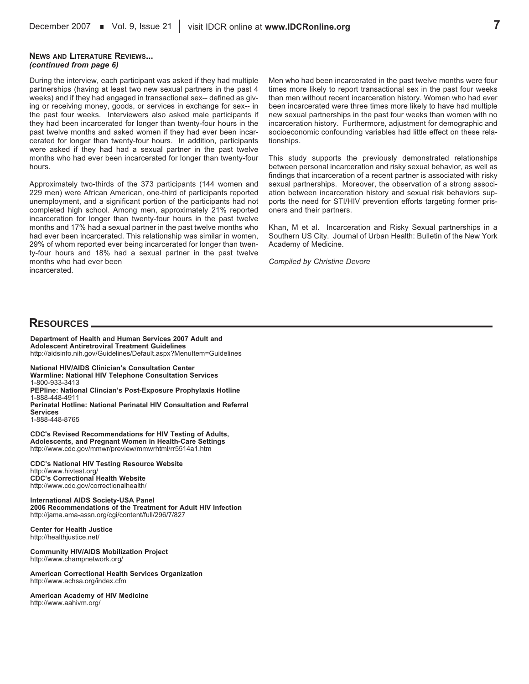### **NEWS AND LITERATURE REVIEWS...** *(continued from page 6)*

During the interview, each participant was asked if they had multiple partnerships (having at least two new sexual partners in the past 4 weeks) and if they had engaged in transactional sex-- defined as giving or receiving money, goods, or services in exchange for sex-- in the past four weeks. Interviewers also asked male participants if they had been incarcerated for longer than twenty-four hours in the past twelve months and asked women if they had ever been incarcerated for longer than twenty-four hours. In addition, participants were asked if they had had a sexual partner in the past twelve months who had ever been incarcerated for longer than twenty-four hours.

Approximately two-thirds of the 373 participants (144 women and 229 men) were African American, one-third of participants reported unemployment, and a significant portion of the participants had not completed high school. Among men, approximately 21% reported incarceration for longer than twenty-four hours in the past twelve months and 17% had a sexual partner in the past twelve months who had ever been incarcerated. This relationship was similar in women, 29% of whom reported ever being incarcerated for longer than twenty-four hours and 18% had a sexual partner in the past twelve months who had ever been incarcerated.

Men who had been incarcerated in the past twelve months were four times more likely to report transactional sex in the past four weeks than men without recent incarceration history. Women who had ever been incarcerated were three times more likely to have had multiple new sexual partnerships in the past four weeks than women with no incarceration history. Furthermore, adjustment for demographic and socioeconomic confounding variables had little effect on these relationships.

This study supports the previously demonstrated relationships between personal incarceration and risky sexual behavior, as well as findings that incarceration of a recent partner is associated with risky sexual partnerships. Moreover, the observation of a strong association between incarceration history and sexual risk behaviors supports the need for STI/HIV prevention efforts targeting former prisoners and their partners.

Khan, M et al. Incarceration and Risky Sexual partnerships in a Southern US City. Journal of Urban Health: Bulletin of the New York Academy of Medicine.

*Compiled by Christine Devore*

## **RESOURCES**

**Department of Health and Human Services 2007 Adult and Adolescent Antiretroviral Treatment Guidelines** http://aidsinfo.nih.gov/Guidelines/Default.aspx?MenuItem=Guidelines

**National HIV/AIDS Clinician's Consultation Center Warmline: National HIV Telephone Consultation Services** 1-800-933-3413 **PEPline: National Clincian's Post-Exposure Prophylaxis Hotline** 1-888-448-4911 **Perinatal Hotline: National Perinatal HIV Consultation and Referral Services** 1-888-448-8765

**CDC's Revised Recommendations for HIV Testing of Adults, Adolescents, and Pregnant Women in Health-Care Settings** http://www.cdc.gov/mmwr/preview/mmwrhtml/rr5514a1.htm

**CDC's National HIV Testing Resource Website** http://www.hivtest.org/ **CDC's Correctional Health Website** http://www.cdc.gov/correctionalhealth/

**International AIDS Society-USA Panel 2006 Recommendations of the Treatment for Adult HIV Infection** http://jama.ama-assn.org/cgi/content/full/296/7/827

**Center for Health Justice** http://healthjustice.net/

**Community HIV/AIDS Mobilization Project** http://www.champnetwork.org/

**American Correctional Health Services Organization** http://www.achsa.org/index.cfm

**American Academy of HIV Medicine** http://www.aahivm.org/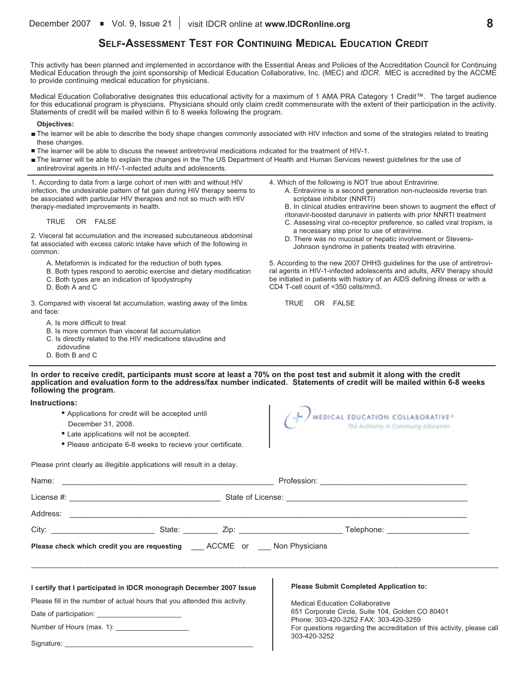# **SELF-ASSESSMENT TEST FOR CONTINUING MEDICAL EDUCATION CREDIT**

This activity has been planned and implemented in accordance with the Essential Areas and Policies of the Accreditation Council for Continuing Medical Education through the joint sponsorship of Medical Education Collaborative, Inc. (MEC) and *IDCR*. MEC is accredited by the ACCME to provide continuing medical education for physicians.

Medical Education Collaborative designates this educational activity for a maximum of 1 AMA PRA Category 1 Credit™. The target audience for this educational program is physcians. Physicians should only claim credit commensurate with the extent of their participation in the activity. Statements of credit will be mailed within 6 to 8 weeks following the program.

### **Objectives:**

- The learner will be able to describe the body shape changes commonly associated with HIV infection and some of the strategies related to treating these changes.
- The learner will be able to discuss the newest antiretroviral medications indicated for the treatment of HIV-1.
- The learner will be able to explain the changes in the The US Department of Health and Human Services newest guidelines for the use of antiretroviral agents in HIV-1-infected adults and adolescents.

1. According to data from a large cohort of men with and without HIV infection, the undesirable pattern of fat gain during HIV therapy seems to be associated with particular HIV therapies and not so much with HIV therapy-mediated improvements in health.

### TRUE OR FALSE

2. Visceral fat accumulation and the increased subcutaneous abdominal fat associated with excess caloric intake have which of the following in common:

- A. Metaformin is indicated for the reduction of both types.
- B. Both types respond to aerobic exercise and dietary modification
- C. Both types are an indication of lipodystrophy
- D. Both A and C

3. Compared with visceral fat accumulation, wasting away of the limbs and face:

- A. Is more difficult to treat
- B. Is more common than visceral fat accumulation
- C. Is directly related to the HIV medications stavudine and
- zidovudine
- D. Both B and C

## 4. Which of the following is NOT true about Entravirine:

- A. Entravirine is a second generation non-nucleoside reverse tran scriptase inhibitor (NNRTI)
- B. In clinical studies entravirine been shown to augment the effect of
- ritonavir-boosted darunavir in patients with prior NNRTI treatment C. Assessing viral co-receptor preference, so called viral tropism, is a necessary step prior to use of etravirine.
- D. There was no mucosal or hepatic involvement or Stevens-Johnson syndrome in patients treated with etravirine.

5. According to the new 2007 DHHS guidelines for the use of antiretroviral agents in HIV-1-infected adolescents and adults, ARV therapy should be initiated in patients with history of an AIDS defining illness or with a CD4 T-cell count of <350 cells/mm3.

TRUE OR FALSE

### In order to receive credit, participants must score at least a 70% on the post test and submit it along with the credit application and evaluation form to the address/fax number indicated. Statements of credit will be mailed within 6-8 weeks **following the program.**

**Instructions:**

- **•** Applications for credit will be accepted until
- December 31, 2008.
- **•** Late applications will not be accepted.
- **•** Please anticipate 6-8 weeks to recieve your certificate.



Please print clearly as illegible applications will result in a delay.

| Please check which credit you are requesting _____ ACCME or Non Physicians |  |  |                                                                                           |  |  |  |
|----------------------------------------------------------------------------|--|--|-------------------------------------------------------------------------------------------|--|--|--|
|                                                                            |  |  |                                                                                           |  |  |  |
| I certify that I participated in IDCR monograph December 2007 Issue        |  |  | <b>Please Submit Completed Application to:</b>                                            |  |  |  |
| Please fill in the number of actual hours that you attended this activity. |  |  | <b>Medical Education Collaborative</b>                                                    |  |  |  |
|                                                                            |  |  | 651 Corporate Circle, Suite 104, Golden CO 80401<br>Phone: 303-420-3252 FAX: 303-420-3259 |  |  |  |
| Number of Hours (max. 1): ______________________                           |  |  | For questions regarding the accreditation of this activity, please call                   |  |  |  |
|                                                                            |  |  | 303-420-3252                                                                              |  |  |  |